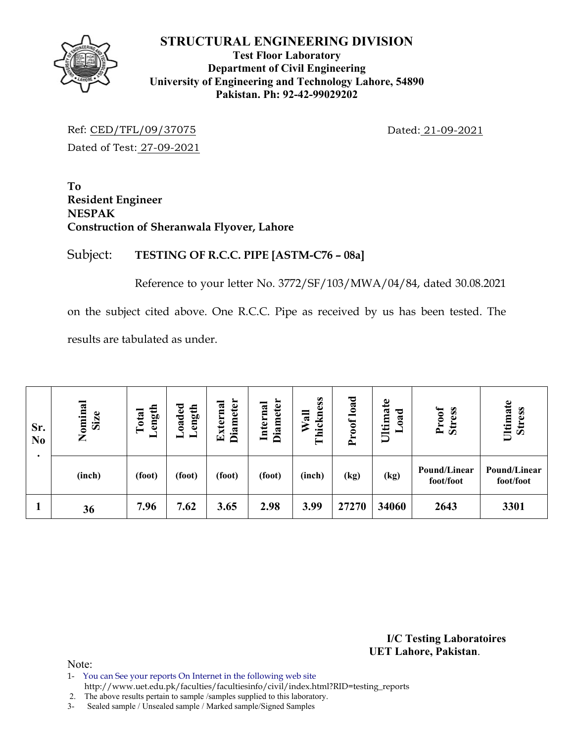

## **Test Floor Laboratory Department of Civil Engineering University of Engineering and Technology Lahore, 54890 Pakistan. Ph: 92-42-99029202**

Ref: CED/TFL/09/37075 Dated: 21-09-2021 Dated of Test: 27-09-2021

**To Resident Engineer NESPAK Construction of Sheranwala Flyover, Lahore** 

## Subject: **TESTING OF R.C.C. PIPE [ASTM-C76 – 08a]**

Reference to your letter No. 3772/SF/103/MWA/04/84, dated 30.08.2021

on the subject cited above. One R.C.C. Pipe as received by us has been tested. The results are tabulated as under.

| Sr.<br>N <sub>0</sub> | Nominal<br>Size | ength<br>Total | oaded<br>ength | Diameter<br><b>Diameter</b><br>Internal<br>Externa |        | Thickness<br>$W$ all | Proof load | Ultimate<br>bad<br>━ | Proof<br><b>Stress</b>    | Ultimate<br><b>Stress</b> |  |
|-----------------------|-----------------|----------------|----------------|----------------------------------------------------|--------|----------------------|------------|----------------------|---------------------------|---------------------------|--|
|                       | (inch)          | (foot)         | (foot)         | (foot)                                             | (foot) | (inch)               | (kg)       | (kg)                 | Pound/Linear<br>foot/foot | Pound/Linear<br>foot/foot |  |
|                       | 36              | 7.96           | 7.62           | 3.65                                               | 2.98   | 3.99                 | 27270      | 34060                | 2643                      | 3301                      |  |

**I/C Testing Laboratoires UET Lahore, Pakistan**.

Note:

- 1- You can See your reports On Internet in the following web site
- http://www.uet.edu.pk/faculties/facultiesinfo/civil/index.html?RID=testing\_reports

2. The above results pertain to sample /samples supplied to this laboratory.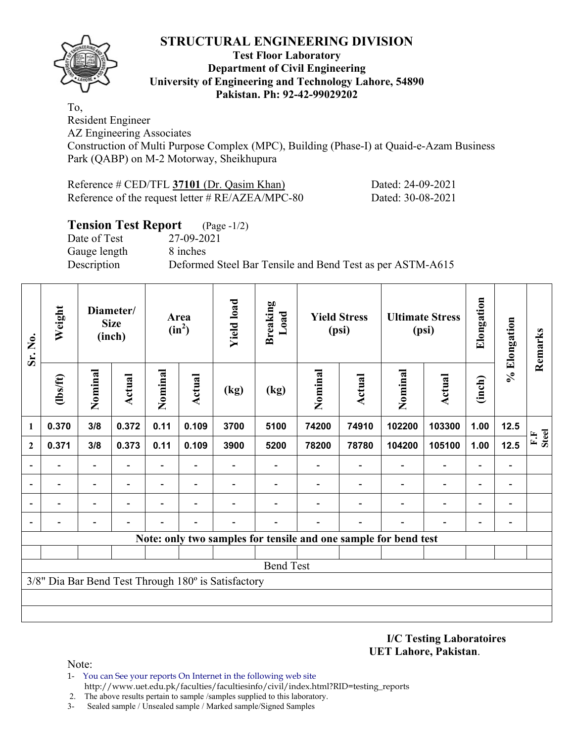

#### **Test Floor Laboratory Department of Civil Engineering University of Engineering and Technology Lahore, 54890 Pakistan. Ph: 92-42-99029202**

To, Resident Engineer

AZ Engineering Associates

Construction of Multi Purpose Complex (MPC), Building (Phase-I) at Quaid-e-Azam Business Park (QABP) on M-2 Motorway, Sheikhupura

| Reference # CED/TFL 37101 (Dr. Qasim Khan)          |  |
|-----------------------------------------------------|--|
| Reference of the request letter $\# RE/AZEA/MPC-80$ |  |

## **Tension Test Report** (Page -1/2)

Date of Test 27-09-2021 Gauge length 8 inches

Description Deformed Steel Bar Tensile and Bend Test as per ASTM-A615

Dated: 24-09-2021 Dated: 30-08-2021

| Sr. No.                  | Weight         | <b>Size</b><br>(inch)    |               | Diameter/<br>Area<br>$(in^2)$ |               | <b>Yield load</b><br><b>Breaking</b><br>Load        |                  | <b>Yield Stress</b><br>(psi) |        | <b>Ultimate Stress</b><br>(psi)                                 |                          | Elongation                   | % Elongation             | Remarks        |
|--------------------------|----------------|--------------------------|---------------|-------------------------------|---------------|-----------------------------------------------------|------------------|------------------------------|--------|-----------------------------------------------------------------|--------------------------|------------------------------|--------------------------|----------------|
|                          | $\frac{2}{10}$ | Nominal                  | <b>Actual</b> | Nominal                       | <b>Actual</b> | (kg)                                                | (kg)             | Nominal                      | Actual | Nominal                                                         | <b>Actual</b>            | (inch)                       |                          |                |
| 1                        | 0.370          | 3/8                      | 0.372         | 0.11                          | 0.109         | 3700                                                | 5100             | 74200                        | 74910  | 102200                                                          | 103300                   | 1.00                         | 12.5                     |                |
| $\mathbf{2}$             | 0.371          | 3/8                      | 0.373         | 0.11                          | 0.109         | 3900                                                | 5200             | 78200                        | 78780  | 104200                                                          | 105100                   | 1.00                         | 12.5                     | $F.F$<br>Steel |
|                          |                | $\overline{\phantom{a}}$ |               | $\overline{\phantom{0}}$      |               |                                                     |                  |                              |        |                                                                 | $\overline{\phantom{0}}$ | $\overline{a}$               |                          |                |
|                          |                | $\overline{\phantom{0}}$ |               |                               |               |                                                     |                  |                              |        |                                                                 | $\overline{\phantom{0}}$ | $\overline{a}$               |                          |                |
| $\overline{a}$           |                | -                        |               |                               |               |                                                     |                  |                              |        | ٠                                                               | $\overline{a}$           | $\qquad \qquad \blacksquare$ | $\overline{\phantom{0}}$ |                |
| $\overline{\phantom{0}}$ |                | $\overline{a}$           |               |                               |               |                                                     |                  |                              |        | $\blacksquare$                                                  |                          | $\overline{\phantom{0}}$     |                          |                |
|                          |                |                          |               |                               |               |                                                     |                  |                              |        | Note: only two samples for tensile and one sample for bend test |                          |                              |                          |                |
|                          |                |                          |               |                               |               |                                                     |                  |                              |        |                                                                 |                          |                              |                          |                |
|                          |                |                          |               |                               |               |                                                     | <b>Bend Test</b> |                              |        |                                                                 |                          |                              |                          |                |
|                          |                |                          |               |                               |               | 3/8" Dia Bar Bend Test Through 180° is Satisfactory |                  |                              |        |                                                                 |                          |                              |                          |                |
|                          |                |                          |               |                               |               |                                                     |                  |                              |        |                                                                 |                          |                              |                          |                |
|                          |                |                          |               |                               |               |                                                     |                  |                              |        |                                                                 |                          |                              |                          |                |

**I/C Testing Laboratoires UET Lahore, Pakistan**.

Note:

- 1- You can See your reports On Internet in the following web site http://www.uet.edu.pk/faculties/facultiesinfo/civil/index.html?RID=testing\_reports
- 2. The above results pertain to sample /samples supplied to this laboratory.
- 3- Sealed sample / Unsealed sample / Marked sample/Signed Samples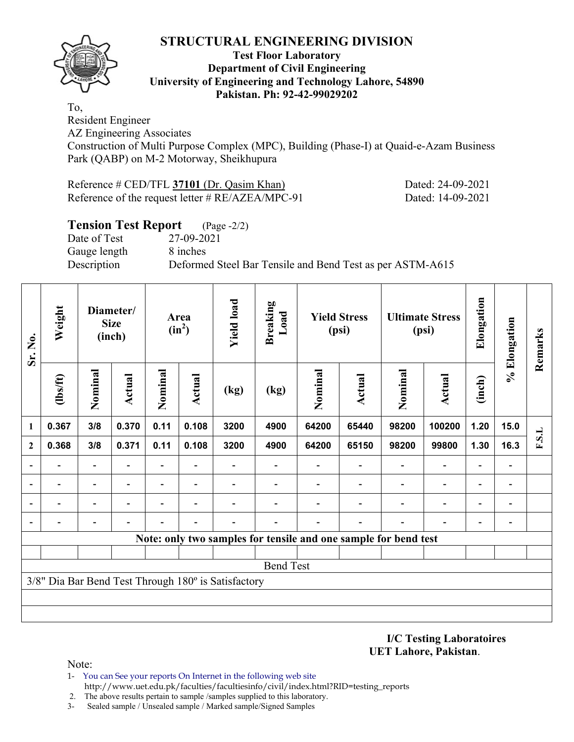

#### **Test Floor Laboratory Department of Civil Engineering University of Engineering and Technology Lahore, 54890 Pakistan. Ph: 92-42-99029202**

To, Resident Engineer

AZ Engineering Associates

Construction of Multi Purpose Complex (MPC), Building (Phase-I) at Quaid-e-Azam Business Park (QABP) on M-2 Motorway, Sheikhupura

| Reference $\#$ CED/TFL 37101 (Dr. Qasim Khan)       |  |
|-----------------------------------------------------|--|
| Reference of the request letter $\# RE/AZEA/MPC-91$ |  |

## **Tension Test Report** (Page -2/2)

Date of Test 27-09-2021 Gauge length 8 inches

Description Deformed Steel Bar Tensile and Bend Test as per ASTM-A615

| Sr. No.      | Weight                   | Diameter/<br><b>Size</b><br>(inch) |                          |                          |                          |                                                     |                          |         |                                                                 |                |                          |                          | Area<br>$(in^2)$             | <b>Yield load</b> | <b>Breaking</b><br>Load |  | <b>Yield Stress</b><br>(psi) |  | <b>Ultimate Stress</b><br>(psi) | Elongation | % Elongation | Remarks |
|--------------|--------------------------|------------------------------------|--------------------------|--------------------------|--------------------------|-----------------------------------------------------|--------------------------|---------|-----------------------------------------------------------------|----------------|--------------------------|--------------------------|------------------------------|-------------------|-------------------------|--|------------------------------|--|---------------------------------|------------|--------------|---------|
|              | (1bs/ft)                 | Nominal                            | Actual                   | Nominal                  | Actual                   | (kg)                                                | (kg)                     | Nominal | <b>Actual</b>                                                   | Nominal        | <b>Actual</b>            | (inch)                   |                              |                   |                         |  |                              |  |                                 |            |              |         |
| 1            | 0.367                    | 3/8                                | 0.370                    | 0.11                     | 0.108                    | 3200                                                | 4900                     | 64200   | 65440                                                           | 98200          | 100200                   | 1.20                     | 15.0                         |                   |                         |  |                              |  |                                 |            |              |         |
| $\mathbf{2}$ | 0.368                    | 3/8                                | 0.371                    | 0.11                     | 0.108                    | 3200                                                | 4900                     | 64200   | 65150                                                           | 98200          | 99800                    | 1.30                     | 16.3                         | F.S.L             |                         |  |                              |  |                                 |            |              |         |
|              |                          | -                                  |                          | -                        |                          |                                                     |                          |         |                                                                 |                |                          |                          |                              |                   |                         |  |                              |  |                                 |            |              |         |
|              |                          | -                                  |                          |                          |                          |                                                     |                          |         |                                                                 |                |                          |                          | $\overline{\phantom{0}}$     |                   |                         |  |                              |  |                                 |            |              |         |
|              | $\overline{\phantom{0}}$ | $\overline{\phantom{a}}$           | $\overline{\phantom{0}}$ | $\overline{\phantom{0}}$ | $\overline{\phantom{a}}$ |                                                     | $\overline{\phantom{0}}$ |         |                                                                 | $\overline{a}$ | $\overline{\phantom{a}}$ | $\overline{\phantom{0}}$ | $\qquad \qquad \blacksquare$ |                   |                         |  |                              |  |                                 |            |              |         |
|              |                          | $\overline{\phantom{0}}$           |                          |                          |                          |                                                     |                          |         |                                                                 |                |                          | $\overline{\phantom{0}}$ | $\qquad \qquad \blacksquare$ |                   |                         |  |                              |  |                                 |            |              |         |
|              |                          |                                    |                          |                          |                          |                                                     |                          |         | Note: only two samples for tensile and one sample for bend test |                |                          |                          |                              |                   |                         |  |                              |  |                                 |            |              |         |
|              |                          |                                    |                          |                          |                          |                                                     |                          |         |                                                                 |                |                          |                          |                              |                   |                         |  |                              |  |                                 |            |              |         |
|              |                          |                                    |                          |                          |                          |                                                     | <b>Bend Test</b>         |         |                                                                 |                |                          |                          |                              |                   |                         |  |                              |  |                                 |            |              |         |
|              |                          |                                    |                          |                          |                          | 3/8" Dia Bar Bend Test Through 180° is Satisfactory |                          |         |                                                                 |                |                          |                          |                              |                   |                         |  |                              |  |                                 |            |              |         |
|              |                          |                                    |                          |                          |                          |                                                     |                          |         |                                                                 |                |                          |                          |                              |                   |                         |  |                              |  |                                 |            |              |         |
|              |                          |                                    |                          |                          |                          |                                                     |                          |         |                                                                 |                |                          |                          |                              |                   |                         |  |                              |  |                                 |            |              |         |

**I/C Testing Laboratoires UET Lahore, Pakistan**.

Dated: 24-09-2021 Dated: 14-09-2021

Note:

1- You can See your reports On Internet in the following web site http://www.uet.edu.pk/faculties/facultiesinfo/civil/index.html?RID=testing\_reports

2. The above results pertain to sample /samples supplied to this laboratory.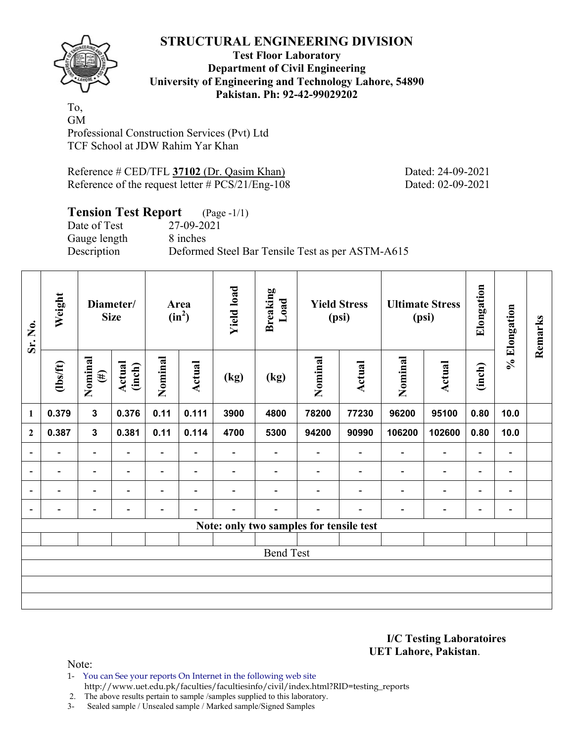

#### **Test Floor Laboratory Department of Civil Engineering University of Engineering and Technology Lahore, 54890 Pakistan. Ph: 92-42-99029202**

To, GM Professional Construction Services (Pvt) Ltd TCF School at JDW Rahim Yar Khan

Reference # CED/TFL 37102 (Dr. Qasim Khan) Dated: 24-09-2021 Reference of the request letter # PCS/21/Eng-108 Dated: 02-09-2021

# **Tension Test Report** (Page -1/1)<br>Date of Test 27-09-2021

Date of Test Gauge length 8 inches

Description Deformed Steel Bar Tensile Test as per ASTM-A615

| Sr. No.                  | Weight         | Diameter/<br><b>Size</b>              |                          | Area<br>$(in^2)$         |                          | <b>Yield load</b>        | <b>Breaking</b><br>Load  | <b>Yield Stress</b><br>(psi)            |                          | <b>Ultimate Stress</b><br>(psi) |                          | Elongation               | % Elongation                 | Remarks |
|--------------------------|----------------|---------------------------------------|--------------------------|--------------------------|--------------------------|--------------------------|--------------------------|-----------------------------------------|--------------------------|---------------------------------|--------------------------|--------------------------|------------------------------|---------|
|                          | $\frac{2}{10}$ | Nominal<br>Actual<br>(inch)<br>$(\#)$ |                          | Nominal                  | Actual                   | (kg)                     | (kg)                     | Nominal                                 | Actual                   | Nominal                         | Actual                   | (inch)                   |                              |         |
| $\mathbf{1}$             | 0.379          | $\mathbf{3}$                          | 0.376                    | 0.11                     | 0.111                    | 3900                     | 4800                     | 78200                                   | 77230                    | 96200                           | 95100                    | 0.80                     | 10.0                         |         |
| $\mathbf{2}$             | 0.387          | $\mathbf{3}$                          | 0.381                    | 0.11                     | 0.114                    | 4700                     | 5300                     | 94200                                   | 90990                    | 106200                          | 102600                   | 0.80                     | 10.0                         |         |
| $\overline{\phantom{a}}$ | -              | $\overline{\phantom{0}}$              | ٠                        | $\overline{\phantom{0}}$ | $\blacksquare$           | -                        |                          |                                         | $\overline{\phantom{0}}$ | $\overline{\phantom{0}}$        | $\overline{a}$           | $\overline{\phantom{a}}$ |                              |         |
| $\blacksquare$           | Ξ.             | $\blacksquare$                        | $\overline{\phantom{0}}$ | $\overline{\phantom{a}}$ | $\blacksquare$           | $\overline{\phantom{0}}$ | $\overline{\phantom{0}}$ |                                         | $\overline{\phantom{a}}$ | $\overline{\phantom{a}}$        | $\overline{\phantom{a}}$ | $\overline{\phantom{a}}$ | $\blacksquare$               |         |
| $\overline{a}$           |                | $\overline{\phantom{0}}$              |                          |                          | $\overline{\phantom{0}}$ |                          |                          |                                         |                          |                                 | $\overline{\phantom{0}}$ | $\overline{\phantom{0}}$ | -                            |         |
| $\overline{\phantom{a}}$ |                | -                                     |                          | -                        | $\overline{\phantom{a}}$ |                          | -                        |                                         |                          |                                 | -                        | -                        | $\qquad \qquad \blacksquare$ |         |
|                          |                |                                       |                          |                          |                          |                          |                          | Note: only two samples for tensile test |                          |                                 |                          |                          |                              |         |
|                          |                |                                       |                          |                          |                          |                          |                          |                                         |                          |                                 |                          |                          |                              |         |
|                          |                |                                       |                          |                          |                          |                          | <b>Bend Test</b>         |                                         |                          |                                 |                          |                          |                              |         |
|                          |                |                                       |                          |                          |                          |                          |                          |                                         |                          |                                 |                          |                          |                              |         |
|                          |                |                                       |                          |                          |                          |                          |                          |                                         |                          |                                 |                          |                          |                              |         |
|                          |                |                                       |                          |                          |                          |                          |                          |                                         |                          |                                 |                          |                          |                              |         |

**I/C Testing Laboratoires UET Lahore, Pakistan**.

Note:

1- You can See your reports On Internet in the following web site http://www.uet.edu.pk/faculties/facultiesinfo/civil/index.html?RID=testing\_reports

2. The above results pertain to sample /samples supplied to this laboratory.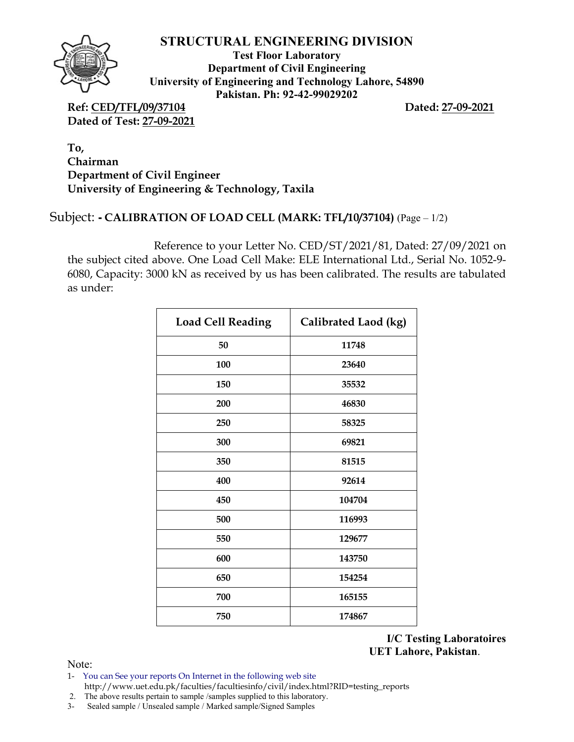

**Test Floor Laboratory Department of Civil Engineering University of Engineering and Technology Lahore, 54890 Pakistan. Ph: 92-42-99029202** 

**Ref: CED/TFL/09/37104 Dated: 27-09-2021 Dated of Test: 27-09-2021**

**To, Chairman Department of Civil Engineer University of Engineering & Technology, Taxila** 

## Subject: **-** CALIBRATION OF LOAD CELL (MARK: TFL/10/37104) (Page – 1/2)

Reference to your Letter No. CED/ST/2021/81, Dated: 27/09/2021 on the subject cited above. One Load Cell Make: ELE International Ltd., Serial No. 1052-9- 6080, Capacity: 3000 kN as received by us has been calibrated. The results are tabulated as under:

| <b>Load Cell Reading</b> | Calibrated Laod (kg) |
|--------------------------|----------------------|
| 50                       | 11748                |
| 100                      | 23640                |
| 150                      | 35532                |
| 200                      | 46830                |
| 250                      | 58325                |
| 300                      | 69821                |
| 350                      | 81515                |
| 400                      | 92614                |
| 450                      | 104704               |
| 500                      | 116993               |
| 550                      | 129677               |
| 600                      | 143750               |
| 650                      | 154254               |
| 700                      | 165155               |
| 750                      | 174867               |

**I/C Testing Laboratoires UET Lahore, Pakistan**.

Note:

- 1- You can See your reports On Internet in the following web site http://www.uet.edu.pk/faculties/facultiesinfo/civil/index.html?RID=testing\_reports
- 2. The above results pertain to sample /samples supplied to this laboratory.
- 3- Sealed sample / Unsealed sample / Marked sample/Signed Samples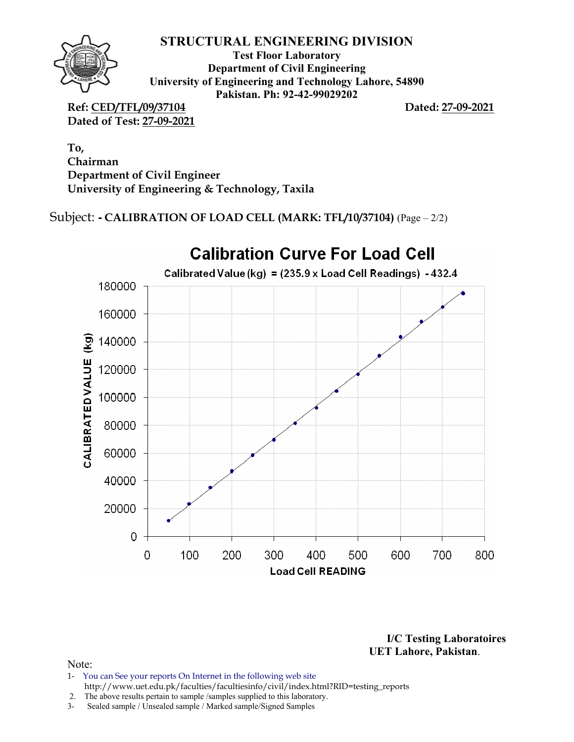

**Test Floor Laboratory Department of Civil Engineering University of Engineering and Technology Lahore, 54890 Pakistan. Ph: 92-42-99029202** 

**Ref: CED/TFL/09/37104 Dated: 27-09-2021 Dated of Test: 27-09-2021**

**To, Chairman Department of Civil Engineer University of Engineering & Technology, Taxila** 

Subject: **-** CALIBRATION OF LOAD CELL (MARK: TFL/10/37104) (Page – 2/2)



**I/C Testing Laboratoires UET Lahore, Pakistan**.

#### Note:

- 1- You can See your reports On Internet in the following web site http://www.uet.edu.pk/faculties/facultiesinfo/civil/index.html?RID=testing\_reports
- 2. The above results pertain to sample /samples supplied to this laboratory.
- 3- Sealed sample / Unsealed sample / Marked sample/Signed Samples